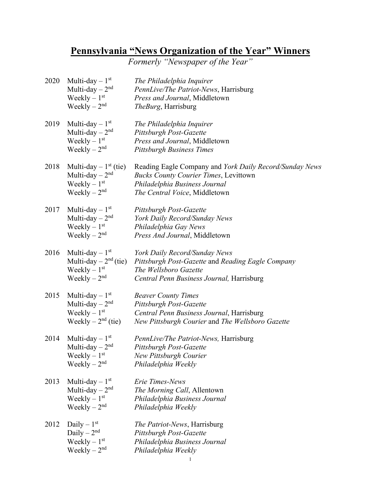## **Pennsylvania "News Organization of the Year" Winners**

*Formerly "Newspaper of the Year"* 

| 2020 | Multi-day $-1st$<br>Multi-day $-2nd$<br>Weekly $-1st$<br>Weekly $-2nd$                   | The Philadelphia Inquirer<br>PennLive/The Patriot-News, Harrisburg<br>Press and Journal, Middletown<br>TheBurg, Harrisburg                                                       |
|------|------------------------------------------------------------------------------------------|----------------------------------------------------------------------------------------------------------------------------------------------------------------------------------|
| 2019 | Multi-day $-1st$<br>Multi-day $-2nd$<br>Weekly $-1st$<br>Weekly $-2nd$                   | The Philadelphia Inquirer<br>Pittsburgh Post-Gazette<br>Press and Journal, Middletown<br>Pittsburgh Business Times                                                               |
| 2018 | Multi-day $-1st$ (tie)<br>Multi-day $-2nd$<br>Weekly $-1st$<br>Weekly $-2nd$             | Reading Eagle Company and York Daily Record/Sunday News<br><b>Bucks County Courier Times, Levittown</b><br>Philadelphia Business Journal<br><i>The Central Voice, Middletown</i> |
| 2017 | Multi-day $-1st$<br>Multi-day $-2nd$<br>Weekly $-1st$<br>Weekly $-2nd$                   | Pittsburgh Post-Gazette<br>York Daily Record/Sunday News<br>Philadelphia Gay News<br>Press And Journal, Middletown                                                               |
| 2016 | Multi-day $-1$ <sup>st</sup><br>Multi-day $-2nd$ (tie)<br>Weekly $-1st$<br>Weekly $-2nd$ | York Daily Record/Sunday News<br>Pittsburgh Post-Gazette and Reading Eagle Company<br>The Wellsboro Gazette<br>Central Penn Business Journal, Harrisburg                         |
| 2015 | Multi-day $-1st$<br>Multi-day $-2nd$<br>Weekly $-1st$<br>Weekly $-2nd$ (tie)             | <b>Beaver County Times</b><br>Pittsburgh Post-Gazette<br>Central Penn Business Journal, Harrisburg<br>New Pittsburgh Courier and The Wellsboro Gazette                           |
| 2014 | Multi-day $-1st$<br>Multi-day $-2nd$<br>Weekly $-1st$<br>Weekly $-2nd$                   | <i>PennLive/The Patriot-News, Harrisburg</i><br>Pittsburgh Post-Gazette<br>New Pittsburgh Courier<br>Philadelphia Weekly                                                         |
| 2013 | Multi-day $-1st$<br>Multi-day $-2nd$<br>Weekly $-1st$<br>Weekly $-2nd$                   | Erie Times-News<br>The Morning Call, Allentown<br>Philadelphia Business Journal<br>Philadelphia Weekly                                                                           |
| 2012 | Daily $-1st$<br>Daily $-2nd$<br>Weekly $-1st$<br>Weekly $-2nd$                           | <i>The Patriot-News</i> , Harrisburg<br>Pittsburgh Post-Gazette<br>Philadelphia Business Journal<br>Philadelphia Weekly                                                          |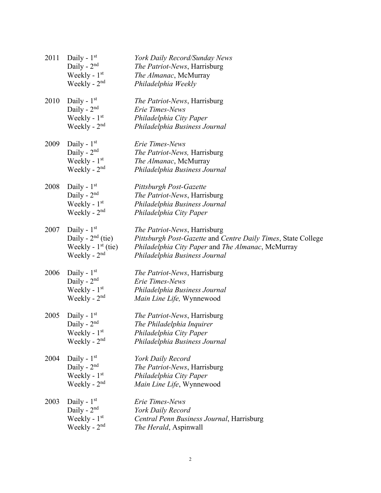| 2011 | Daily - $1st$<br>Daily - $2nd$<br>Weekly - 1st<br>Weekly - $2nd$               | York Daily Record/Sunday News<br>The Patriot-News, Harrisburg<br>The Almanac, McMurray<br>Philadelphia Weekly                                                                               |
|------|--------------------------------------------------------------------------------|---------------------------------------------------------------------------------------------------------------------------------------------------------------------------------------------|
| 2010 | Daily - $1st$<br>Daily - $2nd$<br>Weekly - 1st<br>Weekly - $2nd$               | The Patriot-News, Harrisburg<br>Erie Times-News<br>Philadelphia City Paper<br>Philadelphia Business Journal                                                                                 |
| 2009 | Daily - $1st$<br>Daily - $2nd$<br>Weekly - 1st<br>Weekly - $2nd$               | Erie Times-News<br><i>The Patriot-News</i> , Harrisburg<br>The Almanac, McMurray<br>Philadelphia Business Journal                                                                           |
| 2008 | Daily - $1st$<br>Daily - $2nd$<br>Weekly - $1st$<br>Weekly - $2nd$             | Pittsburgh Post-Gazette<br>The Patriot-News, Harrisburg<br>Philadelphia Business Journal<br>Philadelphia City Paper                                                                         |
| 2007 | Daily - $1st$<br>Daily - $2nd$ (tie)<br>Weekly - $1st$ (tie)<br>Weekly - $2nd$ | <i>The Patriot-News</i> , Harrisburg<br>Pittsburgh Post-Gazette and Centre Daily Times, State College<br>Philadelphia City Paper and The Almanac, McMurray<br>Philadelphia Business Journal |
| 2006 | Daily - $1st$<br>Daily - $2nd$<br>Weekly - $1st$<br>Weekly - $2nd$             | The Patriot-News, Harrisburg<br>Erie Times-News<br>Philadelphia Business Journal<br>Main Line Life, Wynnewood                                                                               |
| 2005 | Daily - $1st$<br>Daily - $2nd$<br>Weekly - 1 <sup>st</sup><br>Weekly - $2nd$   | <i>The Patriot-News</i> , Harrisburg<br>The Philadelphia Inquirer<br>Philadelphia City Paper<br>Philadelphia Business Journal                                                               |
| 2004 | Daily - $1st$<br>Daily - $2nd$<br>Weekly - $1st$<br>Weekly - 2 <sup>nd</sup>   | York Daily Record<br>The Patriot-News, Harrisburg<br>Philadelphia City Paper<br>Main Line Life, Wynnewood                                                                                   |
| 2003 | Daily - $1st$<br>Daily - $2nd$<br>Weekly - 1st<br>Weekly - $2nd$               | Erie Times-News<br>York Daily Record<br>Central Penn Business Journal, Harrisburg<br>The Herald, Aspinwall                                                                                  |